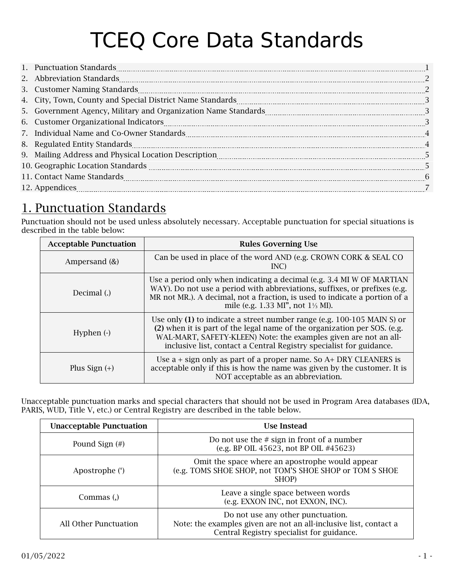# TCEQ Core Data Standards

| 1. Punctuation Standards 2000 and 2000 and 2000 and 2000 and 2000 and 2000 and 2000 and 2000 and 2000 and 2000 and 2000 and 2000 and 2000 and 2000 and 2000 and 2000 and 2000 and 2000 and 2000 and 2000 and 2000 and 2000 and                |  |
|-----------------------------------------------------------------------------------------------------------------------------------------------------------------------------------------------------------------------------------------------|--|
|                                                                                                                                                                                                                                               |  |
| 3. Customer Naming Standards 22. 2010 12:00 12:00 12:00 12:00 12:00 13:00 14:00 14:00 14:00 14:00 14:00 14:00 1                                                                                                                               |  |
|                                                                                                                                                                                                                                               |  |
| 5. Government Agency, Military and Organization Name Standards [11,111]. Covernment management Agency, Military and Organization Name Standards [2011].                                                                                       |  |
| 6. Customer Organizational Indicators 2000 and 2000 and 2000 and 2000 and 3000 and 3000 and 3000 and 3000 and 3000 and 3000 and 3000 and 3000 and 3000 and 3000 and 3000 and 3000 and 3000 and 3000 and 3000 and 3000 and 3000                |  |
|                                                                                                                                                                                                                                               |  |
| 8. Regulated Entity Standards [100] 4 and 2012 12:00 and 2013 12:00 13:00 14:00 14:00 14:00 14:00 14:00 14:00 14:00 14:00 14:00 14:00 14:00 14:00 14:00 14:00 14:00 14:00 14:00 14:00 14:00 14:00 14:00 14:00 14:00 14:00 14:0                |  |
| 9. Mailing Address and Physical Location Description <b>[2016]</b> Mailing Address and Physical Location Description <b>[2016]</b> Mailing Address and Physical Location Description <b>[2016]</b> Mailing Address and Physical Location Desc |  |
|                                                                                                                                                                                                                                               |  |
|                                                                                                                                                                                                                                               |  |
|                                                                                                                                                                                                                                               |  |

### 1. Punctuation Standards

Punctuation should not be used unless absolutely necessary. Acceptable punctuation for special situations is described in the table below:

| <b>Acceptable Punctuation</b> | <b>Rules Governing Use</b>                                                                                                                                                                                                                                                                       |  |
|-------------------------------|--------------------------------------------------------------------------------------------------------------------------------------------------------------------------------------------------------------------------------------------------------------------------------------------------|--|
| Ampersand $(\&)$              | Can be used in place of the word AND (e.g. CROWN CORK & SEAL CO<br>INC)                                                                                                                                                                                                                          |  |
| Decimal (.)                   | Use a period only when indicating a decimal (e.g. 3.4 MI W OF MARTIAN<br>WAY). Do not use a period with abbreviations, suffixes, or prefixes (e.g.<br>MR not MR.). A decimal, not a fraction, is used to indicate a portion of a<br>mile (e.g. 1.33 MI", not $1\frac{1}{3}$ MI).                 |  |
| Hyphen $(\cdot)$              | Use only $(1)$ to indicate a street number range (e.g. 100-105 MAIN S) or<br>(2) when it is part of the legal name of the organization per SOS. (e.g.<br>WAL-MART, SAFETY-KLEEN) Note: the examples given are not an all-<br>inclusive list, contact a Central Registry specialist for guidance. |  |
| Plus Sign $(+)$               | Use $a + sign$ only as part of a proper name. So $A + DRY$ CLEANERS is<br>acceptable only if this is how the name was given by the customer. It is<br>NOT acceptable as an abbreviation.                                                                                                         |  |

Unacceptable punctuation marks and special characters that should not be used in Program Area databases (IDA, PARIS, WUD, Title V, etc.) or Central Registry are described in the table below.

| <b>Unacceptable Punctuation</b> | <b>Use Instead</b>                                                                                                                                  |
|---------------------------------|-----------------------------------------------------------------------------------------------------------------------------------------------------|
| Pound Sign $(\#)$               | Do not use the $\#$ sign in front of a number<br>(e.g. BP OIL 45623, not BP OIL #45623)                                                             |
| Apostrophe (')                  | Omit the space where an apostrophe would appear<br>(e.g. TOMS SHOE SHOP, not TOM'S SHOE SHOP or TOM S SHOE<br>SHOP)                                 |
| Commas (,)                      | Leave a single space between words<br>(e.g. EXXON INC, not EXXON, INC).                                                                             |
| All Other Punctuation           | Do not use any other punctuation.<br>Note: the examples given are not an all-inclusive list, contact a<br>Central Registry specialist for guidance. |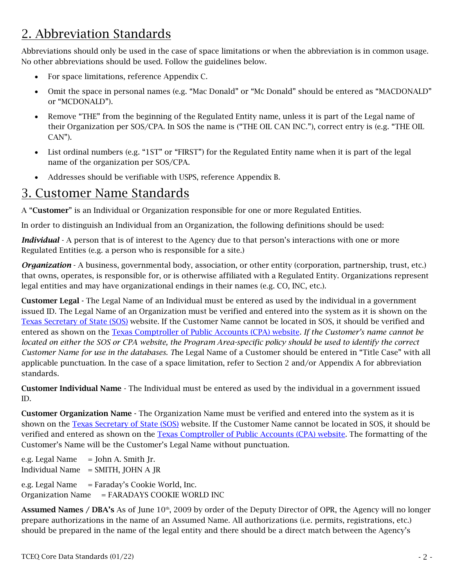# <span id="page-1-0"></span>2. Abbreviation Standards

Abbreviations should only be used in the case of space limitations or when the abbreviation is in common usage. No other abbreviations should be used. Follow the guidelines below.

- For space limitations, reference Appendix C.
- Omit the space in personal names (e.g. "Mac Donald" or "Mc Donald" should be entered as "MACDONALD" or "MCDONALD").
- Remove "THE" from the beginning of the Regulated Entity name, unless it is part of the Legal name of their Organization per SOS/CPA. In SOS the name is ("THE OIL CAN INC."), correct entry is (e.g. "THE OIL CAN").
- List ordinal numbers (e.g. "1ST" or "FIRST") for the Regulated Entity name when it is part of the legal name of the organization per SOS/CPA.
- Addresses should be verifiable with USPS, reference Appendix B.

### 3. Customer Name Standards

A "Customer" is an Individual or Organization responsible for one or more Regulated Entities.

In order to distinguish an Individual from an Organization, the following definitions should be used:

*Individual* - A person that is of interest to the Agency due to that person's interactions with one or more Regulated Entities (e.g. a person who is responsible for a site.)

*Organization* - A business, governmental body, association, or other entity (corporation, partnership, trust, etc.) that owns, operates, is responsible for, or is otherwise affiliated with a Regulated Entity. Organizations represent legal entities and may have organizational endings in their names (e.g. CO, INC, etc.).

Customer Legal - The Legal Name of an Individual must be entered as used by the individual in a government issued ID. The Legal Name of an Organization must be verified and entered into the system as it is shown on the [Texas Secretary of State \(SOS\)](http://direct.sos.state.tx.us/acct/acct-login.asp) website. If the Customer Name cannot be located in SOS, it should be verified and entered as shown on the [Texas Comptroller of Public Accounts \(CPA\) website](https://ourcpa.cpa.state.tx.us/coa/Index.html)*. If the Customer's name cannot be located on either the SOS or CPA website, the Program Area-specific policy should be used to identify the correct Customer Name for use in the databases. T*he Legal Name of a Customer should be entered in "Title Case" with all applicable punctuation. In the case of a space limitation, refer to Section 2 and/or Appendix A for abbreviation standards.

Customer Individual Name - The Individual must be entered as used by the individual in a government issued ID.

Customer Organization Name - The Organization Name must be verified and entered into the system as it is shown on the [Texas Secretary of State \(SOS\)](http://direct.sos.state.tx.us/acct/acct-login.asp) website. If the Customer Name cannot be located in SOS, it should be verified and entered as shown on the [Texas Comptroller of Public Accounts \(CPA\) website](https://ourcpa.cpa.state.tx.us/coa/Index.html)*.* The formatting of the Customer's Name will be the Customer's Legal Name without punctuation.

e.g. Legal Name  $=$  John A. Smith Jr. Individual Name  $=$  SMITH, JOHN A JR e.g. Legal Name  $=$  Faraday's Cookie World, Inc.

Organization Name = FARADAYS COOKIE WORLD INC

Assumed Names / DBA's As of June 10<sup>th</sup>, 2009 by order of the Deputy Director of OPR, the Agency will no longer prepare authorizations in the name of an Assumed Name. All authorizations (i.e. permits, registrations, etc.) should be prepared in the name of the legal entity and there should be a direct match between the Agency's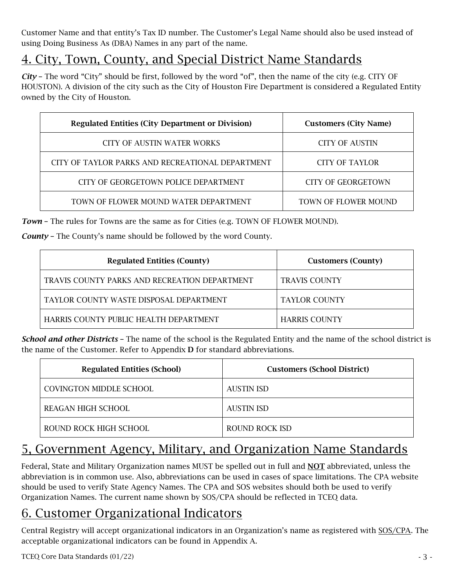<span id="page-2-0"></span>Customer Name and that entity's Tax ID number. The Customer's Legal Name should also be used instead of using Doing Business As (DBA) Names in any part of the name.

# 4. City, Town, County, and Special District Name Standards

*City* – The word "City" should be first, followed by the word "of", then the name of the city (e.g. CITY OF HOUSTON). A division of the city such as the City of Houston Fire Department is considered a Regulated Entity owned by the City of Houston.

| <b>Regulated Entities (City Department or Division)</b> | <b>Customers (City Name)</b> |
|---------------------------------------------------------|------------------------------|
| <b>CITY OF AUSTIN WATER WORKS</b>                       | <b>CITY OF AUSTIN</b>        |
| CITY OF TAYLOR PARKS AND RECREATIONAL DEPARTMENT        | <b>CITY OF TAYLOR</b>        |
| CITY OF GEORGETOWN POLICE DEPARTMENT                    | CITY OF GEORGETOWN           |
| TOWN OF FLOWER MOUND WATER DEPARTMENT                   | TOWN OF FLOWER MOUND         |

*Town* – The rules for Towns are the same as for Cities (e.g. TOWN OF FLOWER MOUND).

*County* – The County's name should be followed by the word County.

| <b>Regulated Entities (County)</b>            | <b>Customers (County)</b> |
|-----------------------------------------------|---------------------------|
| TRAVIS COUNTY PARKS AND RECREATION DEPARTMENT | <b>TRAVIS COUNTY</b>      |
| TAYLOR COUNTY WASTE DISPOSAL DEPARTMENT       | <b>TAYLOR COUNTY</b>      |
| HARRIS COUNTY PUBLIC HEALTH DEPARTMENT        | <b>HARRIS COUNTY</b>      |

*School and other Districts* – The name of the school is the Regulated Entity and the name of the school district is the name of the Customer. Refer to Appendix D for standard abbreviations.

| <b>Regulated Entities (School)</b> | <b>Customers (School District)</b> |
|------------------------------------|------------------------------------|
| COVINGTON MIDDLE SCHOOL            | AUSTIN ISD                         |
| REAGAN HIGH SCHOOL                 | AUSTIN ISD                         |
| ROUND ROCK HIGH SCHOOL             | ROUND ROCK ISD                     |

# 5, Government Agency, Military, and Organization Name Standards

Federal, State and Military Organization names MUST be spelled out in full and NOT abbreviated, unless the abbreviation is in common use. Also, abbreviations can be used in cases of space limitations. The CPA website should be used to verify State Agency Names. The CPA and SOS websites should both be used to verify Organization Names. The current name shown by SOS/CPA should be reflected in TCEQ data.

### 6. Customer Organizational Indicators

Central Registry will accept organizational indicators in an Organization's name as registered with [SOS/](https://direct.sos.state.tx.us/acct/acct-login.asp)CPA. The acceptable organizational indicators can be found in Appendix A.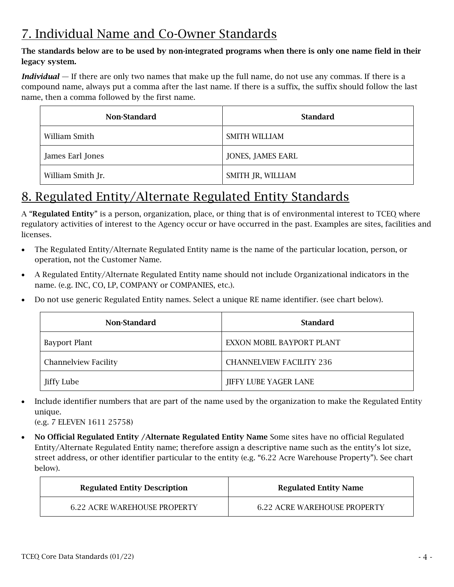# <span id="page-3-0"></span>7. Individual Name and Co-Owner Standards

#### The standards below are to be used by non-integrated programs when there is only one name field in their legacy system.

*Individual* — If there are only two names that make up the full name, do not use any commas. If there is a compound name, always put a comma after the last name. If there is a suffix, the suffix should follow the last name, then a comma followed by the first name.

| Non-Standard      | <b>Standard</b>   |
|-------------------|-------------------|
| William Smith     | SMITH WILLIAM     |
| James Earl Jones  | JONES, JAMES EARL |
| William Smith Jr. | SMITH JR, WILLIAM |

### 8. Regulated Entity/Alternate Regulated Entity Standards

A "Regulated Entity" is a person, organization, place, or thing that is of environmental interest to TCEQ where regulatory activities of interest to the Agency occur or have occurred in the past. Examples are sites, facilities and licenses.

- The Regulated Entity/Alternate Regulated Entity name is the name of the particular location, person, or operation, not the Customer Name.
- A Regulated Entity/Alternate Regulated Entity name should not include Organizational indicators in the name. (e.g. INC, CO, LP, COMPANY or COMPANIES, etc.).
- Do not use generic Regulated Entity names. Select a unique RE name identifier. (see chart below).

| Non-Standard                | <b>Standard</b>                 |
|-----------------------------|---------------------------------|
| Bayport Plant               | EXXON MOBIL BAYPORT PLANT       |
| <b>Channelview Facility</b> | <b>CHANNELVIEW FACILITY 236</b> |
| Jiffy Lube                  | JIFFY LUBE YAGER LANE           |

• Include identifier numbers that are part of the name used by the organization to make the Regulated Entity unique.

(e.g. 7 ELEVEN 1611 25758)

• No Official Regulated Entity / Alternate Regulated Entity Name Some sites have no official Regulated Entity/Alternate Regulated Entity name; therefore assign a descriptive name such as the entity's lot size, street address, or other identifier particular to the entity (e.g. "6.22 Acre Warehouse Property"). See chart below).

| <b>Regulated Entity Description</b> | <b>Regulated Entity Name</b>        |
|-------------------------------------|-------------------------------------|
| <b>6.22 ACRE WAREHOUSE PROPERTY</b> | <b>6.22 ACRE WAREHOUSE PROPERTY</b> |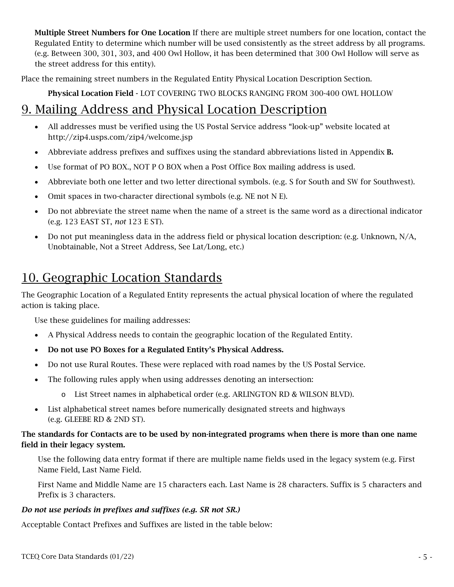<span id="page-4-0"></span>Multiple Street Numbers for One Location If there are multiple street numbers for one location, contact the Regulated Entity to determine which number will be used consistently as the street address by all programs. (e.g. Between 300, 301, 303, and 400 Owl Hollow, it has been determined that 300 Owl Hollow will serve as the street address for this entity).

Place the remaining street numbers in the Regulated Entity Physical Location Description Section.

Physical Location Field - LOT COVERING TWO BLOCKS RANGING FROM 300-400 OWL HOLLOW

### 9. Mailing Address and Physical Location Description

- All addresses must be verified using the US Postal Service address "look-up" website located at http://zip4.usps.com/zip4/welcome.jsp
- Abbreviate address prefixes and suffixes using the standard abbreviations listed in Appendix B.
- Use format of PO BOX., NOT P O BOX when a Post Office Box mailing address is used.
- Abbreviate both one letter and two letter directional symbols. (e.g. S for South and SW for Southwest).
- Omit spaces in two-character directional symbols (e.g. NE not N E).
- Do not abbreviate the street name when the name of a street is the same word as a directional indicator (e.g. 123 EAST ST, *not* 123 E ST).
- Do not put meaningless data in the address field or physical location description: (e.g. Unknown, N/A, Unobtainable, Not a Street Address, See Lat/Long, etc.)

### 10. Geographic Location Standards

The Geographic Location of a Regulated Entity represents the actual physical location of where the regulated action is taking place.

Use these guidelines for mailing addresses:

- A Physical Address needs to contain the geographic location of the Regulated Entity.
- Do not use PO Boxes for a Regulated Entity's Physical Address.
- Do not use Rural Routes. These were replaced with road names by the US Postal Service.
- The following rules apply when using addresses denoting an intersection:
	- o List Street names in alphabetical order (e.g. ARLINGTON RD & WILSON BLVD).
- List alphabetical street names before numerically designated streets and highways (e.g. GLEEBE RD & 2ND ST).

#### The standards for Contacts are to be used by non-integrated programs when there is more than one name field in their legacy system.

Use the following data entry format if there are multiple name fields used in the legacy system (e.g. First Name Field, Last Name Field.

First Name and Middle Name are 15 characters each. Last Name is 28 characters. Suffix is 5 characters and Prefix is 3 characters.

#### *Do not use periods in prefixes and suffixes (e.g. SR not SR.)*

Acceptable Contact Prefixes and Suffixes are listed in the table below: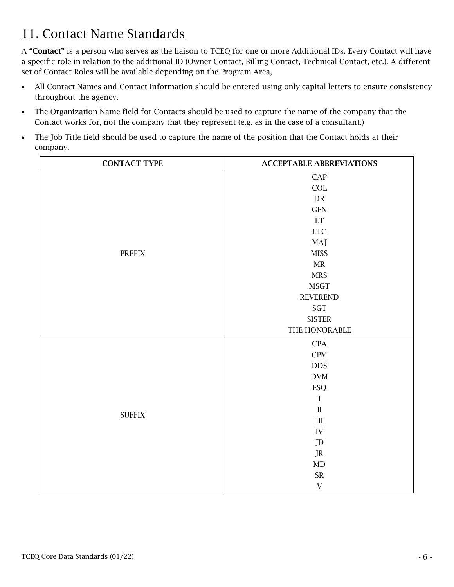# <span id="page-5-0"></span>11. Contact Name Standards

A "Contact" is a person who serves as the liaison to TCEQ for one or more Additional IDs. Every Contact will have a specific role in relation to the additional ID (Owner Contact, Billing Contact, Technical Contact, etc.). A different set of Contact Roles will be available depending on the Program Area,

- All Contact Names and Contact Information should be entered using only capital letters to ensure consistency throughout the agency.
- The Organization Name field for Contacts should be used to capture the name of the company that the Contact works for, not the company that they represent (e.g. as in the case of a consultant.)
- The Job Title field should be used to capture the name of the position that the Contact holds at their company.

| <b>CONTACT TYPE</b>            | <b>ACCEPTABLE ABBREVIATIONS</b> |
|--------------------------------|---------------------------------|
|                                | CAP                             |
|                                | <b>COL</b>                      |
|                                | ${\rm DR}$                      |
|                                | <b>GEN</b>                      |
|                                | $\mathop{\rm LT}\nolimits$      |
|                                | $_{\rm{LTC}}$                   |
|                                | MAJ                             |
| $\ensuremath{\mathsf{PREFIX}}$ | <b>MISS</b>                     |
|                                | $\operatorname{MR}$             |
|                                | <b>MRS</b>                      |
|                                | <b>MSGT</b>                     |
|                                | <b>REVEREND</b>                 |
|                                | $\operatorname{SGT}$            |
|                                | <b>SISTER</b>                   |
|                                | THE HONORABLE                   |
|                                | CPA                             |
|                                | $\mathbf{CPM}$                  |
|                                | <b>DDS</b>                      |
|                                | $\mathbf{DVM}$                  |
|                                | ESQ                             |
|                                | $\bf I$                         |
| ${\rm SUFFIX}$                 | $\rm II$                        |
|                                | $\quad \  III$                  |
|                                | ${\rm IV}$                      |
|                                | $\rm JD$                        |
|                                | $\rm J R$                       |
|                                | MD                              |
|                                | ${\sf SR}$                      |
|                                | $\mathbf V$                     |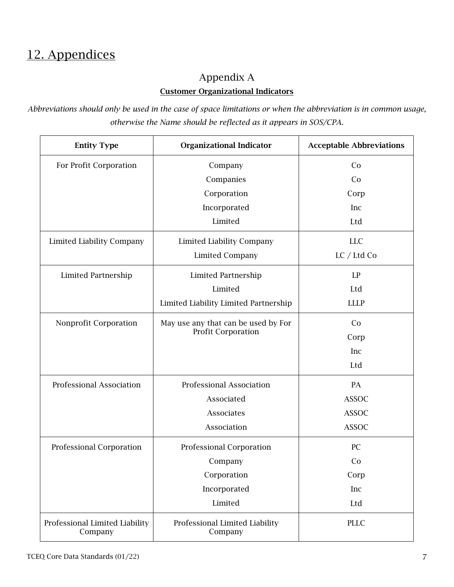### <span id="page-6-0"></span>12. Appendices

### Appendix A

#### Customer Organizational Indicators

*Abbreviations should only be used in the case of space limitations or when the abbreviation is in common usage, otherwise the Name should be reflected as it appears in SOS/CPA.*

| <b>Entity Type</b>                        | <b>Organizational Indicator</b>           | <b>Acceptable Abbreviations</b> |
|-------------------------------------------|-------------------------------------------|---------------------------------|
| For Profit Corporation                    | Company                                   | Co                              |
|                                           | Companies                                 | Co                              |
|                                           | Corporation                               | Corp                            |
|                                           | Incorporated                              | Inc                             |
|                                           | Limited                                   | Ltd                             |
| Limited Liability Company                 | <b>Limited Liability Company</b>          | <b>LLC</b>                      |
|                                           | <b>Limited Company</b>                    | LC / Ltd Co                     |
| Limited Partnership                       | Limited Partnership                       | LP                              |
|                                           | Limited                                   | Ltd                             |
|                                           | Limited Liability Limited Partnership     | <b>LLLP</b>                     |
| Nonprofit Corporation                     | May use any that can be used by For       | Co                              |
|                                           | Profit Corporation                        | Corp                            |
|                                           |                                           | Inc                             |
|                                           |                                           | Ltd                             |
| Professional Association                  | Professional Association                  | PA                              |
|                                           | Associated                                | <b>ASSOC</b>                    |
|                                           | Associates                                | <b>ASSOC</b>                    |
|                                           | Association                               | <b>ASSOC</b>                    |
| Professional Corporation                  | Professional Corporation                  | <b>PC</b>                       |
|                                           | Company                                   | Co                              |
|                                           | Corporation                               | Corp                            |
|                                           | Incorporated                              | Inc                             |
|                                           | Limited                                   | Ltd                             |
| Professional Limited Liability<br>Company | Professional Limited Liability<br>Company | <b>PLLC</b>                     |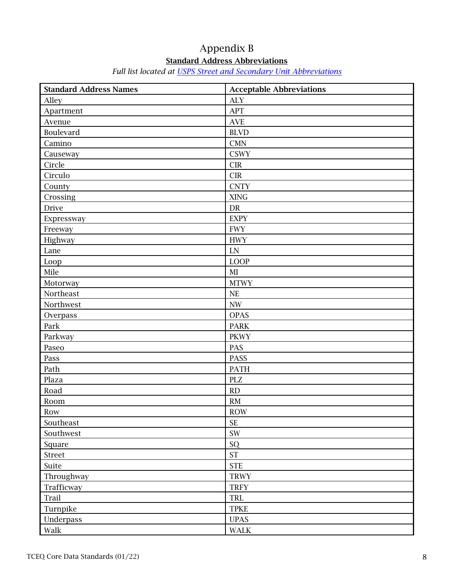### Appendix B

### Standard Address Abbreviations

### *Full list located at [USPS Street and Secondary Unit Abbreviations](https://pe.usps.com/text/pub28/28apc_002.htm)*

| <b>Standard Address Names</b> | <b>Acceptable Abbreviations</b> |
|-------------------------------|---------------------------------|
| Alley                         | <b>ALY</b>                      |
| Apartment                     | APT                             |
| Avenue                        | <b>AVE</b>                      |
| Boulevard                     | <b>BLVD</b>                     |
| Camino                        | <b>CMN</b>                      |
| Causeway                      | <b>CSWY</b>                     |
| Circle                        | CIR                             |
| Circulo                       | <b>CIR</b>                      |
| County                        | <b>CNTY</b>                     |
| Crossing                      | <b>XING</b>                     |
| <b>Drive</b>                  | DR                              |
| Expressway                    | <b>EXPY</b>                     |
| Freeway                       | <b>FWY</b>                      |
| Highway                       | <b>HWY</b>                      |
| Lane                          | <b>LN</b>                       |
| Loop                          | <b>LOOP</b>                     |
| Mile                          | $\rm MI$                        |
| Motorway                      | <b>MTWY</b>                     |
| Northeast                     | NE                              |
| Northwest                     | $\ensuremath{\text{NW}}$        |
| Overpass                      | <b>OPAS</b>                     |
| Park                          | <b>PARK</b>                     |
| Parkway                       | <b>PKWY</b>                     |
| Paseo                         | PAS                             |
| Pass                          | PASS                            |
| Path                          | <b>PATH</b>                     |
| Plaza                         | PLZ                             |
| Road                          | RD                              |
| Room                          | $\mathrm{RM}$                   |
| Row                           | <b>ROW</b>                      |
| Southeast                     | <b>SE</b>                       |
| Southwest                     | $\text{SW}\xspace$              |
| Square                        | SQ                              |
| Street                        | ST                              |
| Suite                         | <b>STE</b>                      |
| Throughway                    | <b>TRWY</b>                     |
| Trafficway                    | <b>TRFY</b>                     |
| Trail                         | TRL                             |
| Turnpike                      | <b>TPKE</b>                     |
| Underpass                     | <b>UPAS</b>                     |
| Walk                          | <b>WALK</b>                     |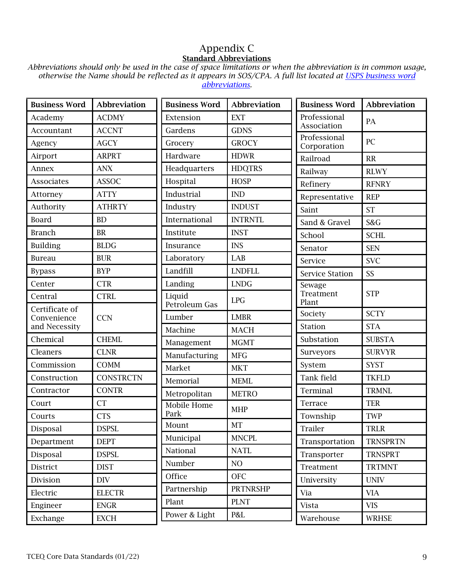### Appendix C Standard Abbreviations

*Abbreviations should only be used in the case of space limitations or when the abbreviation is in common usage, otherwise the Name should be reflected as it [appears in SOS/CPA. A full list located at USPS business word](https://pe.usps.com/text/pub28/28apg.htm) abbreviations.* 

| <b>Business Word</b>                           | <b>Abbreviation</b> | <b>Business Word</b>    | <b>Abbreviation</b> | <b>Business Word</b>        | Abbreviation    |
|------------------------------------------------|---------------------|-------------------------|---------------------|-----------------------------|-----------------|
| Academy                                        | <b>ACDMY</b>        | Extension               | <b>EXT</b>          | Professional                | PA              |
| Accountant                                     | <b>ACCNT</b>        | Gardens                 | <b>GDNS</b>         | Association                 |                 |
| Agency                                         | <b>AGCY</b>         | Grocery                 | <b>GROCY</b>        | Professional<br>Corporation | PC              |
| Airport                                        | <b>ARPRT</b>        | Hardware                | <b>HDWR</b>         | Railroad                    | RR              |
| Annex                                          | <b>ANX</b>          | Headquarters            | <b>HDQTRS</b>       | Railway                     | <b>RLWY</b>     |
| <b>Associates</b>                              | <b>ASSOC</b>        | Hospital                | <b>HOSP</b>         | Refinery                    | <b>RFNRY</b>    |
| Attorney                                       | <b>ATTY</b>         | Industrial              | <b>IND</b>          | Representative              | <b>REP</b>      |
| Authority                                      | <b>ATHRTY</b>       | Industry                | <b>INDUST</b>       | Saint                       | <b>ST</b>       |
| <b>Board</b>                                   | BD                  | International           | <b>INTRNTL</b>      | Sand & Gravel               | S&G             |
| <b>Branch</b>                                  | <b>BR</b>           | Institute               | <b>INST</b>         | School                      | <b>SCHL</b>     |
| Building                                       | <b>BLDG</b>         | Insurance               | <b>INS</b>          | Senator                     | <b>SEN</b>      |
| <b>Bureau</b>                                  | <b>BUR</b>          | Laboratory              | LAB                 | Service                     | <b>SVC</b>      |
| <b>Bypass</b>                                  | <b>BYP</b>          | Landfill                | <b>LNDFLL</b>       | <b>Service Station</b>      | SS              |
| Center                                         | <b>CTR</b>          | Landing                 | <b>LNDG</b>         | Sewage                      |                 |
| Central                                        | <b>CTRL</b>         | Liquid<br>Petroleum Gas | LPG                 | Treatment<br>Plant          | <b>STP</b>      |
| Certificate of<br>Convenience<br>and Necessity | <b>CCN</b>          | Lumber                  | <b>LMBR</b>         | Society                     | <b>SCTY</b>     |
|                                                |                     | Machine                 | <b>MACH</b>         | Station                     | <b>STA</b>      |
| Chemical                                       | <b>CHEML</b>        | Management              | <b>MGMT</b>         | Substation                  | <b>SUBSTA</b>   |
| Cleaners                                       | <b>CLNR</b>         | Manufacturing           | <b>MFG</b>          | Surveyors                   | <b>SURVYR</b>   |
| Commission                                     | <b>COMM</b>         | Market                  | <b>MKT</b>          | System                      | <b>SYST</b>     |
| Construction                                   | <b>CONSTRCTN</b>    | Memorial                | <b>MEML</b>         | Tank field                  | <b>TKFLD</b>    |
| Contractor                                     | <b>CONTR</b>        | Metropolitan            | <b>METRO</b>        | Terminal                    | <b>TRMNL</b>    |
| Court                                          | <b>CT</b>           | Mobile Home             | <b>MHP</b>          | Terrace                     | <b>TER</b>      |
| Courts                                         | <b>CTS</b>          | Park                    |                     | Township                    | <b>TWP</b>      |
| Disposal                                       | <b>DSPSL</b>        | Mount                   | <b>MT</b>           | Trailer                     | TRLR            |
| Department                                     | <b>DEPT</b>         | Municipal               | <b>MNCPL</b>        | Transportation              | <b>TRNSPRTN</b> |
| Disposal                                       | <b>DSPSL</b>        | National                | <b>NATL</b>         | Transporter                 | <b>TRNSPRT</b>  |
| District                                       | <b>DIST</b>         | Number                  | NO                  | Treatment                   | <b>TRTMNT</b>   |
| Division                                       | $\rm{DIV}$          | Office                  | <b>OFC</b>          | University                  | <b>UNIV</b>     |
| Electric                                       | <b>ELECTR</b>       | Partnership             | <b>PRTNRSHP</b>     | Via                         | <b>VIA</b>      |
| Engineer                                       | <b>ENGR</b>         | Plant                   | <b>PLNT</b>         | Vista                       | <b>VIS</b>      |
| Exchange                                       | <b>EXCH</b>         | Power & Light           | P&L                 | Warehouse                   | <b>WRHSE</b>    |